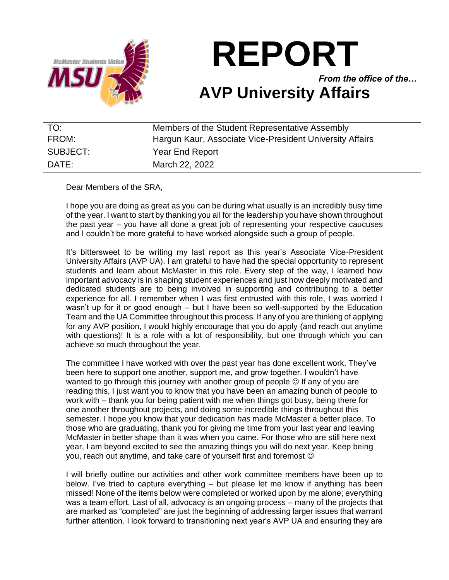

# **REPORT**

*From the office of the…* **AVP University Affairs**

| TO:      | Members of the Student Representative Assembly           |
|----------|----------------------------------------------------------|
| FROM:    | Hargun Kaur, Associate Vice-President University Affairs |
| SUBJECT: | Year End Report                                          |
| DATE:    | March 22, 2022                                           |

Dear Members of the SRA,

I hope you are doing as great as you can be during what usually is an incredibly busy time of the year. I want to start by thanking you all for the leadership you have shown throughout the past year – you have all done a great job of representing your respective caucuses and I couldn't be more grateful to have worked alongside such a group of people.

It's bittersweet to be writing my last report as this year's Associate Vice-President University Affairs (AVP UA). I am grateful to have had the special opportunity to represent students and learn about McMaster in this role. Every step of the way, I learned how important advocacy is in shaping student experiences and just how deeply motivated and dedicated students are to being involved in supporting and contributing to a better experience for all. I remember when I was first entrusted with this role, I was worried I wasn't up for it or good enough – but I have been so well-supported by the Education Team and the UA Committee throughout this process. If any of you are thinking of applying for any AVP position, I would highly encourage that you do apply (and reach out anytime with questions)! It is a role with a lot of responsibility, but one through which you can achieve so much throughout the year.

The committee I have worked with over the past year has done excellent work. They've been here to support one another, support me, and grow together. I wouldn't have wanted to go through this journey with another group of people  $\odot$  If any of you are reading this, I just want you to know that you have been an amazing bunch of people to work with – thank you for being patient with me when things got busy, being there for one another throughout projects, and doing some incredible things throughout this semester. I hope you know that your dedication *has* made McMaster a better place. To those who are graduating, thank you for giving me time from your last year and leaving McMaster in better shape than it was when you came. For those who are still here next year, I am beyond excited to see the amazing things you will do next year. Keep being you, reach out anytime, and take care of yourself first and foremost  $\odot$ 

I will briefly outline our activities and other work committee members have been up to below. I've tried to capture everything – but please let me know if anything has been missed! None of the items below were completed or worked upon by me alone; everything was a team effort. Last of all, advocacy is an ongoing process – many of the projects that are marked as "completed" are just the beginning of addressing larger issues that warrant further attention. I look forward to transitioning next year's AVP UA and ensuring they are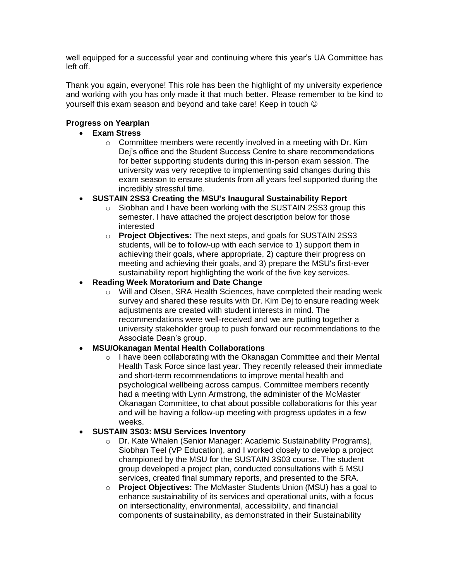well equipped for a successful year and continuing where this year's UA Committee has left off.

Thank you again, everyone! This role has been the highlight of my university experience and working with you has only made it that much better. Please remember to be kind to yourself this exam season and beyond and take care! Keep in touch ☺

## **Progress on Yearplan**

## • **Exam Stress**

 $\circ$  Committee members were recently involved in a meeting with Dr. Kim Dej's office and the Student Success Centre to share recommendations for better supporting students during this in-person exam session. The university was very receptive to implementing said changes during this exam season to ensure students from all years feel supported during the incredibly stressful time.

## • **SUSTAIN 2SS3 Creating the MSU's Inaugural Sustainability Report**

- o Siobhan and I have been working with the SUSTAIN 2SS3 group this semester. I have attached the project description below for those interested
- o **Project Objectives:** The next steps, and goals for SUSTAIN 2SS3 students, will be to follow-up with each service to 1) support them in achieving their goals, where appropriate, 2) capture their progress on meeting and achieving their goals, and 3) prepare the MSU's first-ever sustainability report highlighting the work of the five key services.

## • **Reading Week Moratorium and Date Change**

o Will and Olsen, SRA Health Sciences, have completed their reading week survey and shared these results with Dr. Kim Dej to ensure reading week adjustments are created with student interests in mind. The recommendations were well-received and we are putting together a university stakeholder group to push forward our recommendations to the Associate Dean's group.

#### • **MSU/Okanagan Mental Health Collaborations**

o I have been collaborating with the Okanagan Committee and their Mental Health Task Force since last year. They recently released their immediate and short-term recommendations to improve mental health and psychological wellbeing across campus. Committee members recently had a meeting with Lynn Armstrong, the administer of the McMaster Okanagan Committee, to chat about possible collaborations for this year and will be having a follow-up meeting with progress updates in a few weeks.

#### • **SUSTAIN 3S03: MSU Services Inventory**

- o Dr. Kate Whalen (Senior Manager: Academic Sustainability Programs), Siobhan Teel (VP Education), and I worked closely to develop a project championed by the MSU for the SUSTAIN 3S03 course. The student group developed a project plan, conducted consultations with 5 MSU services, created final summary reports, and presented to the SRA.
- o **Project Objectives:** The McMaster Students Union (MSU) has a goal to enhance sustainability of its services and operational units, with a focus on intersectionality, environmental, accessibility, and financial components of sustainability, as demonstrated in their Sustainability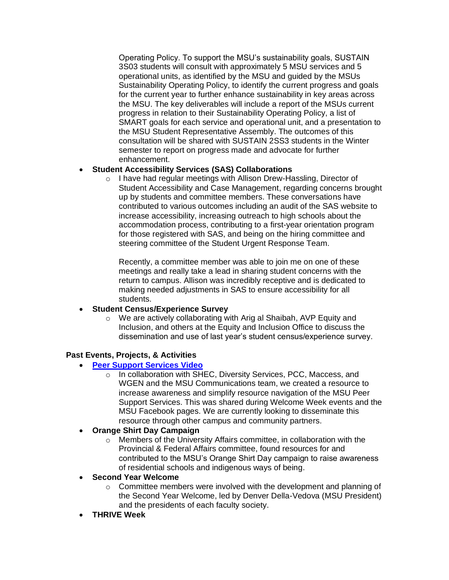Operating Policy. To support the MSU's sustainability goals, SUSTAIN 3S03 students will consult with approximately 5 MSU services and 5 operational units, as identified by the MSU and guided by the MSUs Sustainability Operating Policy, to identify the current progress and goals for the current year to further enhance sustainability in key areas across the MSU. The key deliverables will include a report of the MSUs current progress in relation to their Sustainability Operating Policy, a list of SMART goals for each service and operational unit, and a presentation to the MSU Student Representative Assembly. The outcomes of this consultation will be shared with SUSTAIN 2SS3 students in the Winter semester to report on progress made and advocate for further enhancement.

## • **Student Accessibility Services (SAS) Collaborations**

o I have had regular meetings with Allison Drew-Hassling, Director of Student Accessibility and Case Management, regarding concerns brought up by students and committee members. These conversations have contributed to various outcomes including an audit of the SAS website to increase accessibility, increasing outreach to high schools about the accommodation process, contributing to a first-year orientation program for those registered with SAS, and being on the hiring committee and steering committee of the Student Urgent Response Team.

Recently, a committee member was able to join me on one of these meetings and really take a lead in sharing student concerns with the return to campus. Allison was incredibly receptive and is dedicated to making needed adjustments in SAS to ensure accessibility for all students.

#### • **Student Census/Experience Survey**

o We are actively collaborating with Arig al Shaibah, AVP Equity and Inclusion, and others at the Equity and Inclusion Office to discuss the dissemination and use of last year's student census/experience survey.

#### **Past Events, Projects, & Activities**

- **[Peer Support Services Video](https://www.facebook.com/MSUMcMaster/videos/801941890468578)**
	- o In collaboration with SHEC, Diversity Services, PCC, Maccess, and WGEN and the MSU Communications team, we created a resource to increase awareness and simplify resource navigation of the MSU Peer Support Services. This was shared during Welcome Week events and the MSU Facebook pages. We are currently looking to disseminate this resource through other campus and community partners.

#### • **Orange Shirt Day Campaign**

o Members of the University Affairs committee, in collaboration with the Provincial & Federal Affairs committee, found resources for and contributed to the MSU's Orange Shirt Day campaign to raise awareness of residential schools and indigenous ways of being.

#### • **Second Year Welcome**

- $\circ$  Committee members were involved with the development and planning of the Second Year Welcome, led by Denver Della-Vedova (MSU President) and the presidents of each faculty society.
- **THRIVE Week**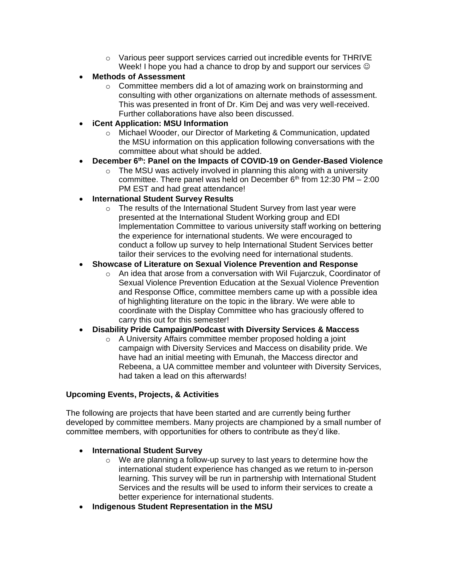- o Various peer support services carried out incredible events for THRIVE Week! I hope you had a chance to drop by and support our services  $\odot$
- **Methods of Assessment** 
	- $\circ$  Committee members did a lot of amazing work on brainstorming and consulting with other organizations on alternate methods of assessment. This was presented in front of Dr. Kim Dej and was very well-received. Further collaborations have also been discussed.
- **iCent Application: MSU Information**
	- o Michael Wooder, our Director of Marketing & Communication, updated the MSU information on this application following conversations with the committee about what should be added.
- **December 6th: Panel on the Impacts of COVID-19 on Gender-Based Violence**
	- $\circ$  The MSU was actively involved in planning this along with a university committee. There panel was held on December  $6<sup>th</sup>$  from 12:30 PM – 2:00 PM EST and had great attendance!
- **International Student Survey Results**
	- o The results of the International Student Survey from last year were presented at the International Student Working group and EDI Implementation Committee to various university staff working on bettering the experience for international students. We were encouraged to conduct a follow up survey to help International Student Services better tailor their services to the evolving need for international students.

#### • **Showcase of Literature on Sexual Violence Prevention and Response**

 $\circ$  An idea that arose from a conversation with Wil Fujarczuk, Coordinator of Sexual Violence Prevention Education at the Sexual Violence Prevention and Response Office, committee members came up with a possible idea of highlighting literature on the topic in the library. We were able to coordinate with the Display Committee who has graciously offered to carry this out for this semester!

#### • **Disability Pride Campaign/Podcast with Diversity Services & Maccess**

o A University Affairs committee member proposed holding a joint campaign with Diversity Services and Maccess on disability pride. We have had an initial meeting with Emunah, the Maccess director and Rebeena, a UA committee member and volunteer with Diversity Services, had taken a lead on this afterwards!

#### **Upcoming Events, Projects, & Activities**

The following are projects that have been started and are currently being further developed by committee members. Many projects are championed by a small number of committee members, with opportunities for others to contribute as they'd like.

#### • **International Student Survey**

- $\circ$  We are planning a follow-up survey to last years to determine how the international student experience has changed as we return to in-person learning. This survey will be run in partnership with International Student Services and the results will be used to inform their services to create a better experience for international students.
- **Indigenous Student Representation in the MSU**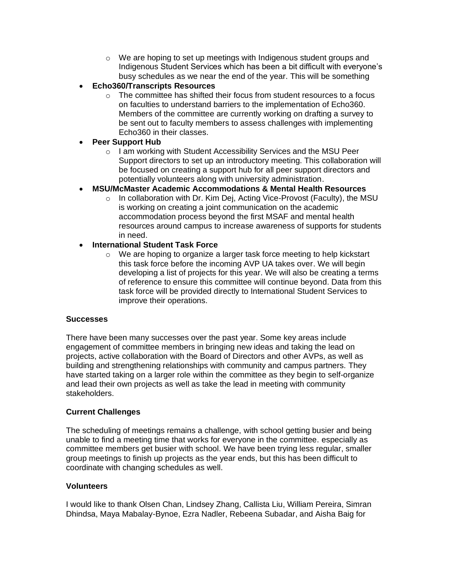- $\circ$  We are hoping to set up meetings with Indigenous student groups and Indigenous Student Services which has been a bit difficult with everyone's busy schedules as we near the end of the year. This will be something
- **Echo360/Transcripts Resources**
	- $\circ$  The committee has shifted their focus from student resources to a focus on faculties to understand barriers to the implementation of Echo360. Members of the committee are currently working on drafting a survey to be sent out to faculty members to assess challenges with implementing Echo360 in their classes.
- **Peer Support Hub**
	- o I am working with Student Accessibility Services and the MSU Peer Support directors to set up an introductory meeting. This collaboration will be focused on creating a support hub for all peer support directors and potentially volunteers along with university administration.
- **MSU/McMaster Academic Accommodations & Mental Health Resources**
	- o In collaboration with Dr. Kim Dej, Acting Vice-Provost (Faculty), the MSU is working on creating a joint communication on the academic accommodation process beyond the first MSAF and mental health resources around campus to increase awareness of supports for students in need.
- **International Student Task Force**
	- o We are hoping to organize a larger task force meeting to help kickstart this task force before the incoming AVP UA takes over. We will begin developing a list of projects for this year. We will also be creating a terms of reference to ensure this committee will continue beyond. Data from this task force will be provided directly to International Student Services to improve their operations.

#### **Successes**

There have been many successes over the past year. Some key areas include engagement of committee members in bringing new ideas and taking the lead on projects, active collaboration with the Board of Directors and other AVPs, as well as building and strengthening relationships with community and campus partners. They have started taking on a larger role within the committee as they begin to self-organize and lead their own projects as well as take the lead in meeting with community stakeholders.

#### **Current Challenges**

The scheduling of meetings remains a challenge, with school getting busier and being unable to find a meeting time that works for everyone in the committee. especially as committee members get busier with school. We have been trying less regular, smaller group meetings to finish up projects as the year ends, but this has been difficult to coordinate with changing schedules as well.

#### **Volunteers**

I would like to thank Olsen Chan, Lindsey Zhang, Callista Liu, William Pereira, Simran Dhindsa, Maya Mabalay-Bynoe, Ezra Nadler, Rebeena Subadar, and Aisha Baig for